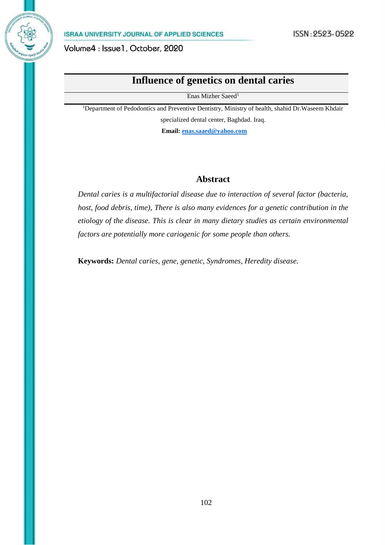# **Influence of genetics on dental caries**

Enas Mizher Saeed<sup>1</sup>

<sup>1</sup>Department of Pedodontics and Preventive Dentistry, Ministry of health, shahid Dr.Waseem Khdair specialized dental center, Baghdad. Iraq.

 **Email: [enas.saaed@yahoo.com](mailto:enas.saaed@yahoo.com)**

## **Abstract**

*Dental caries is a multifactorial disease due to interaction of several factor (bacteria, host, food debris, time), There is also many evidences for a genetic contribution in the etiology of the disease. This is clear in many dietary studies as certain environmental factors are potentially more cariogenic for some people than others.*

**Keywords:** *Dental caries, gene, genetic, Syndromes, Heredity disease.*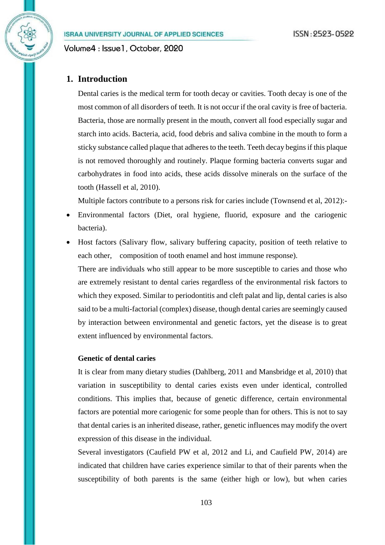**ISRAA UNIVERSITY JOURNAL OF APPLIED SCIENCES** 

Volume4: Issue1, October, 2020

## **1. Introduction**

Dental caries is the medical term for tooth decay or cavities. Tooth decay is one of the most common of all disorders of teeth. It is not occur if the oral cavity is free of bacteria. Bacteria, those are normally present in the mouth, convert all food especially sugar and starch into acids. Bacteria, acid, food debris and saliva combine in the mouth to form a sticky substance called plaque that adheres to the teeth. Teeth decay begins if this plaque is not removed thoroughly and routinely. Plaque forming bacteria converts sugar and carbohydrates in food into acids, these acids dissolve minerals on the surface of the tooth (Hassell et al, 2010).

Multiple factors contribute to a persons risk for caries include (Townsend et al, 2012):-

- Environmental factors (Diet, oral hygiene, fluorid, exposure and the cariogenic bacteria).
- Host factors (Salivary flow, salivary buffering capacity, position of teeth relative to each other, composition of tooth enamel and host immune response).

There are individuals who still appear to be more susceptible to caries and those who are extremely resistant to dental caries regardless of the environmental risk factors to which they exposed. Similar to periodontitis and cleft palat and lip, dental caries is also said to be a multi-factorial (complex) disease, though dental caries are seemingly caused by interaction between environmental and genetic factors, yet the disease is to great extent influenced by environmental factors.

## **Genetic of dental caries**

It is clear from many dietary studies (Dahlberg, 2011 and Mansbridge et al, 2010) that variation in susceptibility to dental caries exists even under identical, controlled conditions. This implies that, because of genetic difference, certain environmental factors are potential more cariogenic for some people than for others. This is not to say that dental caries is an inherited disease, rather, genetic influences may modify the overt expression of this disease in the individual.

Several investigators (Caufield PW et al, 2012 and Li, and Caufield PW, 2014) are indicated that children have caries experience similar to that of their parents when the susceptibility of both parents is the same (either high or low), but when caries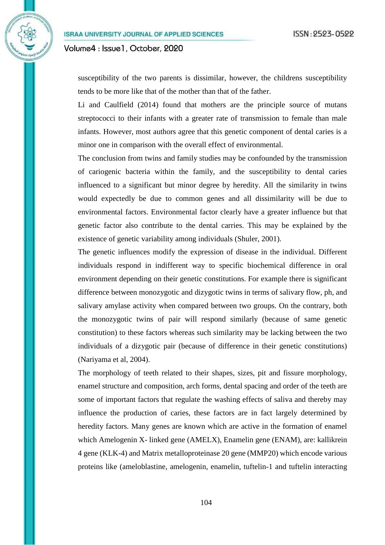susceptibility of the two parents is dissimilar, however, the childrens susceptibility tends to be more like that of the mother than that of the father.

Li and Caulfield (2014) found that mothers are the principle source of mutans streptococci to their infants with a greater rate of transmission to female than male infants. However, most authors agree that this genetic component of dental caries is a minor one in comparison with the overall effect of environmental.

The conclusion from twins and family studies may be confounded by the transmission of cariogenic bacteria within the family, and the susceptibility to dental caries influenced to a significant but minor degree by heredity. All the similarity in twins would expectedly be due to common genes and all dissimilarity will be due to environmental factors. Environmental factor clearly have a greater influence but that genetic factor also contribute to the dental carries. This may be explained by the existence of genetic variability among individuals (Shuler, 2001).

The genetic influences modify the expression of disease in the individual. Different individuals respond in indifferent way to specific biochemical difference in oral environment depending on their genetic constitutions. For example there is significant difference between monozygotic and dizygotic twins in terms of salivary flow, ph, and salivary amylase activity when compared between two groups. On the contrary, both the monozygotic twins of pair will respond similarly (because of same genetic constitution) to these factors whereas such similarity may be lacking between the two individuals of a dizygotic pair (because of difference in their genetic constitutions) (Nariyama et al, 2004).

The morphology of teeth related to their shapes, sizes, pit and fissure morphology, enamel structure and composition, arch forms, dental spacing and order of the teeth are some of important factors that regulate the washing effects of saliva and thereby may influence the production of caries, these factors are in fact largely determined by heredity factors. Many genes are known which are active in the formation of enamel which Amelogenin X- linked gene (AMELX), Enamelin gene (ENAM), are: kallikrein 4 gene (KLK-4) and Matrix metalloproteinase 20 gene (MMP20) which encode various proteins like (ameloblastine, amelogenin, enamelin, tuftelin-1 and tuftelin interacting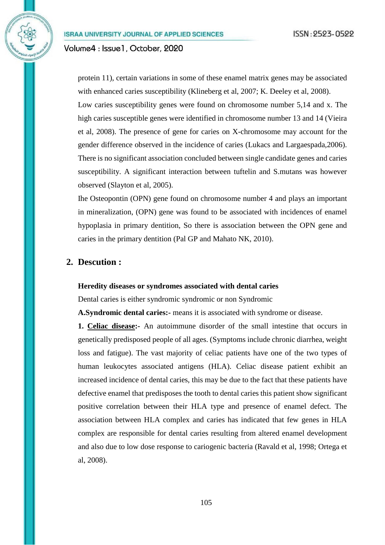protein 11), certain variations in some of these enamel matrix genes may be associated with enhanced caries susceptibility (Klineberg et al, 2007; K. Deeley et al, 2008).

Low caries susceptibility genes were found on chromosome number 5,14 and x. The high caries susceptible genes were identified in chromosome number 13 and 14 (Vieira et al, 2008). The presence of gene for caries on X-chromosome may account for the gender difference observed in the incidence of caries (Lukacs and Largaespada,2006). There is no significant association concluded between single candidate genes and caries susceptibility. A significant interaction between tuftelin and S.mutans was however observed (Slayton et al, 2005).

Ihe Osteopontin (OPN) gene found on chromosome number 4 and plays an important in mineralization, (OPN) gene was found to be associated with incidences of enamel hypoplasia in primary dentition, So there is association between the OPN gene and caries in the primary dentition (Pal GP and Mahato NK, 2010).

## **2. Descution :**

#### **Heredity diseases or syndromes associated with dental caries**

Dental caries is either syndromic syndromic or non Syndromic

**A.Syndromic dental caries:-** means it is associated with syndrome or disease.

**1. Celiac disease:-** An autoimmune disorder of the small intestine that occurs in genetically predisposed people of all ages. (Symptoms include chronic diarrhea, weight loss and fatigue). The vast majority of celiac patients have one of the two types of human leukocytes associated antigens (HLA). Celiac disease patient exhibit an increased incidence of dental caries, this may be due to the fact that these patients have defective enamel that predisposes the tooth to dental caries this patient show significant positive correlation between their HLA type and presence of enamel defect. The association between HLA complex and caries has indicated that few genes in HLA complex are responsible for dental caries resulting from altered enamel development and also due to low dose response to cariogenic bacteria (Ravald et al, 1998; Ortega et al, 2008).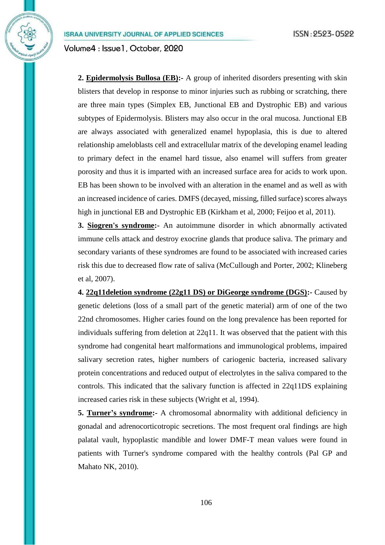**2. Epidermolysis Bullosa (EB):-** A group of inherited disorders presenting with skin blisters that develop in response to minor injuries such as rubbing or scratching, there are three main types (Simplex EB, Junctional EB and Dystrophic EB) and various subtypes of Epidermolysis. Blisters may also occur in the oral mucosa. Junctional EB are always associated with generalized enamel hypoplasia, this is due to altered relationship ameloblasts cell and extracellular matrix of the developing enamel leading to primary defect in the enamel hard tissue, also enamel will suffers from greater porosity and thus it is imparted with an increased surface area for acids to work upon. EB has been shown to be involved with an alteration in the enamel and as well as with an increased incidence of caries. DMFS (decayed, missing, filled surface) scores always high in junctional EB and Dystrophic EB (Kirkham et al, 2000; Feijoo et al, 2011).

**3. Siogren's syndrome:-** An autoimmune disorder in which abnormally activated immune cells attack and destroy exocrine glands that produce saliva. The primary and secondary variants of these syndromes are found to be associated with increased caries risk this due to decreased flow rate of saliva (McCullough and Porter, 2002; Klineberg et al, 2007).

**4. 22q11deletion syndrome (22g11 DS) or DiGeorge syndrome (DGS):-** Caused by genetic deletions (loss of a small part of the genetic material) arm of one of the two 22nd chromosomes. Higher caries found on the long prevalence has been reported for individuals suffering from deletion at 22q11. It was observed that the patient with this syndrome had congenital heart malformations and immunological problems, impaired salivary secretion rates, higher numbers of cariogenic bacteria, increased salivary protein concentrations and reduced output of electrolytes in the saliva compared to the controls. This indicated that the salivary function is affected in 22q11DS explaining increased caries risk in these subjects (Wright et al, 1994).

**5. Turner's syndrome:-** A chromosomal abnormality with additional deficiency in gonadal and adrenocorticotropic secretions. The most frequent oral findings are high palatal vault, hypoplastic mandible and lower DMF-T mean values were found in patients with Turner's syndrome compared with the healthy controls (Pal GP and Mahato NK, 2010).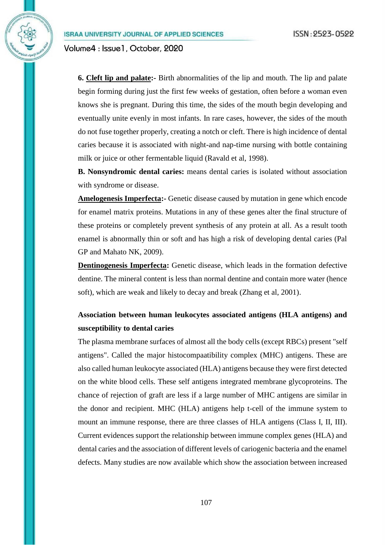**6. Cleft lip and palate:-** Birth abnormalities of the lip and mouth. The lip and palate begin forming during just the first few weeks of gestation, often before a woman even knows she is pregnant. During this time, the sides of the mouth begin developing and eventually unite evenly in most infants. In rare cases, however, the sides of the mouth do not fuse together properly, creating a notch or cleft. There is high incidence of dental caries because it is associated with night-and nap-time nursing with bottle containing milk or juice or other fermentable liquid (Ravald et al, 1998).

**B. Nonsyndromic dental caries:** means dental caries is isolated without association with syndrome or disease.

**Amelogenesis Imperfecta:-** Genetic disease caused by mutation in gene which encode for enamel matrix proteins. Mutations in any of these genes alter the final structure of these proteins or completely prevent synthesis of any protein at all. As a result tooth enamel is abnormally thin or soft and has high a risk of developing dental caries (Pal GP and Mahato NK, 2009).

**Dentinogenesis Imperfecta:** Genetic disease, which leads in the formation defective dentine. The mineral content is less than normal dentine and contain more water (hence soft), which are weak and likely to decay and break (Zhang et al, 2001).

## **Association between human leukocytes associated antigens (HLA antigens) and susceptibility to dental caries**

The plasma membrane surfaces of almost all the body cells (except RBCs) present "self antigens". Called the major histocompaatibility complex (MHC) antigens. These are also called human leukocyte associated (HLA) antigens because they were first detected on the white blood cells. These self antigens integrated membrane glycoproteins. The chance of rejection of graft are less if a large number of MHC antigens are similar in the donor and recipient. MHC (HLA) antigens help t-cell of the immune system to mount an immune response, there are three classes of HLA antigens (Class I, II, III). Current evidences support the relationship between immune complex genes (HLA) and dental caries and the association of different levels of cariogenic bacteria and the enamel defects. Many studies are now available which show the association between increased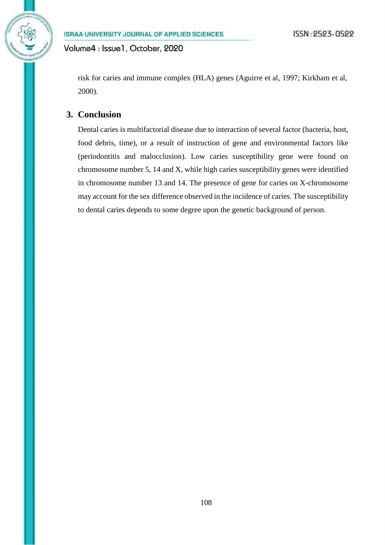risk for caries and immune complex (HLA) genes (Aguirre et al, 1997; Kirkham et al, 2000).

## **3. Conclusion**

Dental caries is multifactorial disease due to interaction of several factor (bacteria, host, food debris, time), or a result of instruction of gene and environmental factors like (periodontitis and malocclusion). Low caries susceptibility gene were found on chromosome number 5, 14 and X, while high caries susceptibility genes were identified in chromosome number 13 and 14. The presence of gene for caries on X-chromosome may account for the sex difference observed in the incidence of caries. The susceptibility to dental caries depends to some degree upon the genetic background of person.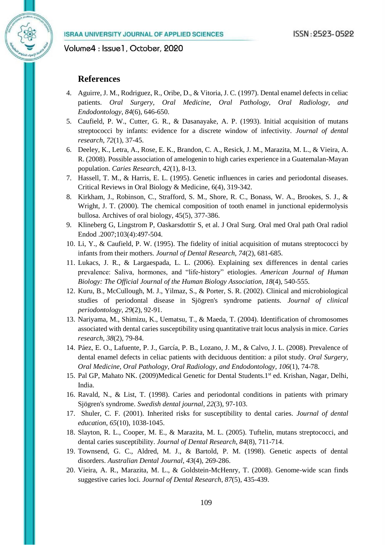### **References**

- 4. Aguirre, J. M., Rodriguez, R., Oribe, D., & Vitoria, J. C. (1997). Dental enamel defects in celiac patients. *Oral Surgery, Oral Medicine, Oral Pathology, Oral Radiology, and Endodontology*, *84*(6), 646-650.
- 5. Caufield, P. W., Cutter, G. R., & Dasanayake, A. P. (1993). Initial acquisition of mutans streptococci by infants: evidence for a discrete window of infectivity. *Journal of dental research, 72*(1), 37-45.
- 6. Deeley, K., Letra, A., Rose, E. K., Brandon, C. A., Resick, J. M., Marazita, M. L., & Vieira, A. R. (2008). Possible association of amelogenin to high caries experience in a Guatemalan-Mayan population. *Caries Research*, *42*(1), 8-13.
- 7. Hassell, T. M., & Harris, E. L. (1995). Genetic influences in caries and periodontal diseases. Critical Reviews in Oral Biology & Medicine, 6(4), 319-342.
- 8. Kirkham, J., Robinson, C., Strafford, S. M., Shore, R. C., Bonass, W. A., Brookes, S. J., & Wright, J. T. (2000). The chemical composition of tooth enamel in junctional epidermolysis bullosa. Archives of oral biology, 45(5), 377-386.
- 9. Klineberg G, Lingstrom P, Oaskarsdottir S, et al. J Oral Surg. Oral med Oral path Oral radiol Endod .2007;103(4):497-504.
- 10. Li, Y., & Caufield, P. W. (1995). The fidelity of initial acquisition of mutans streptococci by infants from their mothers. *Journal of Dental Research*, *74*(2), 681-685.
- 11. Lukacs, J. R., & Largaespada, L. L. (2006). Explaining sex differences in dental caries prevalence: Saliva, hormones, and "life‐history" etiologies. *American Journal of Human Biology: The Official Journal of the Human Biology Association*, *18*(4), 540-555.
- 12. Kuru, B., McCullough, M. J., Yilmaz, S., & Porter, S. R. (2002). Clinical and microbiological studies of periodontal disease in Sjögren's syndrome patients. *Journal of clinical periodontology*, *29*(2), 92-91.
- 13. Nariyama, M., Shimizu, K., Uematsu, T., & Maeda, T. (2004). Identification of chromosomes associated with dental caries susceptibility using quantitative trait locus analysis in mice. *Caries research*, *38*(2), 79-84.
- 14. Páez, E. O., Lafuente, P. J., García, P. B., Lozano, J. M., & Calvo, J. L. (2008). Prevalence of dental enamel defects in celiac patients with deciduous dentition: a pilot study. *Oral Surgery, Oral Medicine, Oral Pathology, Oral Radiology, and Endodontology*, *106*(1), 74-78.
- 15. Pal GP, Mahato NK. (2009)Medical Genetic for Dental Students.1<sup>st</sup> ed. Krishan, Nagar, Delhi, India.
- 16. Ravald, N., & List, T. (1998). Caries and periodontal conditions in patients with primary Sjögren's syndrome. *Swedish dental journal*, *22*(3), 97-103.
- 17. Shuler, C. F. (2001). Inherited risks for susceptibility to dental caries. *Journal of dental education*, *65*(10), 1038-1045.
- 18. Slayton, R. L., Cooper, M. E., & Marazita, M. L. (2005). Tuftelin, mutans streptococci, and dental caries susceptibility. *Journal of Dental Research*, *84*(8), 711-714.
- 19. Townsend, G. C., Aldred, M. J., & Bartold, P. M. (1998). Genetic aspects of dental disorders. *Australian Dental Journal*, *43*(4), 269-286.
- 20. Vieira, A. R., Marazita, M. L., & Goldstein-McHenry, T. (2008). Genome-wide scan finds suggestive caries loci. *Journal of Dental Research*, *87*(5), 435-439.